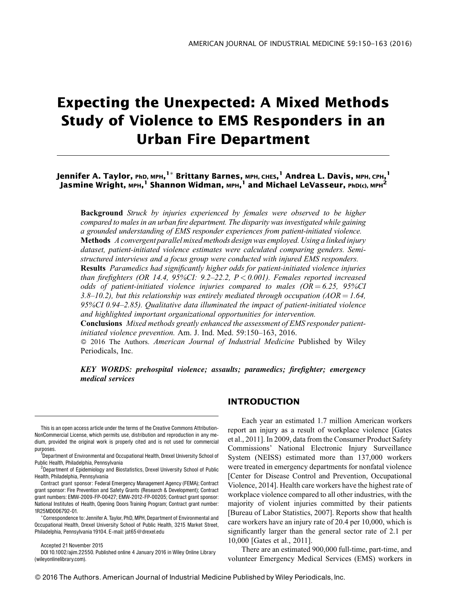# Expecting the Unexpected: A Mixed Methods Study of Violence to EMS Responders in an Urban Fire Department

Jennifer A. Taylor, PhD, MPH,<sup>1\*</sup> Brittany Barnes, мрн, снеs,<sup>1</sup> Andrea L. Davis, мрн, срн,<sup>1</sup> Jasmine Wright, мрн,<sup>1</sup> Shannon Widman, мрн,<sup>1</sup> and Michael LeVasseur, phD(c), мрн<sup>2</sup>

Background Struck by injuries experienced by females were observed to be higher compared to males in an urban fire department. The disparity was investigated while gaining a grounded understanding of EMS responder experiences from patient-initiated violence. Methods A convergent parallel mixed methods design was employed. Using a linked injury dataset, patient-initiated violence estimates were calculated comparing genders. Semistructured interviews and a focus group were conducted with injured EMS responders. Results Paramedics had significantly higher odds for patient-initiated violence injuries than firefighters (OR 14.4, 95%CI: 9.2-22.2,  $P < 0.001$ ). Females reported increased odds of patient-initiated violence injuries compared to males  $(OR = 6.25, 95\% CI$ 3.8–10.2), but this relationship was entirely mediated through occupation (AOR = 1.64, 95%CI 0.94–2.85). Qualitative data illuminated the impact of patient-initiated violence and highlighted important organizational opportunities for intervention.

Conclusions Mixed methods greatly enhanced the assessment of EMS responder patientinitiated violence prevention. Am. J. Ind. Med. 59:150–163, 2016.

 2016 The Authors. American Journal of Industrial Medicine Published by Wiley Periodicals, Inc.

#### KEY WORDS: prehospital violence; assaults; paramedics; firefighter; emergency medical services

# INTRODUCTION

Each year an estimated 1.7 million American workers report an injury as a result of workplace violence [Gates et al., 2011]. In 2009, data from the Consumer Product Safety Commissions' National Electronic Injury Surveillance System (NEISS) estimated more than 137,000 workers were treated in emergency departments for nonfatal violence [Center for Disease Control and Prevention, Occupational Violence, 2014]. Health care workers have the highest rate of workplace violence compared to all other industries, with the majority of violent injuries committed by their patients [Bureau of Labor Statistics, 2007]. Reports show that health care workers have an injury rate of 20.4 per 10,000, which is significantly larger than the general sector rate of 2.1 per 10,000 [Gates et al., 2011].

There are an estimated 900,000 full-time, part-time, and volunteer Emergency Medical Services (EMS) workers in

This is an open access article under the terms of the Creative Commons Attribution-NonCommercial License, which permits use, distribution and reproduction in any medium, provided the original work is properly cited and is not used for commercial purposes.

<sup>&</sup>lt;sup>1</sup>Department of Environmental and Occupational Health, Drexel University School of Public Health, Philadelphia, Pennsylvania <sup>2</sup>

<sup>&</sup>lt;sup>2</sup>Department of Epidemiology and Biostatistics, Drexel University School of Public Health, Philadelphia, Pennsylvania

Contract grant sponsor: Federal Emergency Management Agency (FEMA); Contract grant sponsor: Fire Prevention and Safety Grants (Research & Development); Contract grant numbers: EMW-2009-FP-00427; EMW-2012-FP-00205; Contract grant sponsor: National Institutes of Health, Opening Doors Training Program; Contract grant number: 1R25MD006792-01.

Correspondence to: Jennifer A.Taylor, PhD, MPH, Department of Environmental and Occupational Health, Drexel University School of Public Health, 3215 Market Street, Philadelphia, Pennsylvania 19104. E-mail: jat65@drexel.edu

Accepted 21 November 2015

DOI 10.1002/ajim.22550. Published online 4 January 2016 in Wiley Online Library (wileyonlinelibrary.com).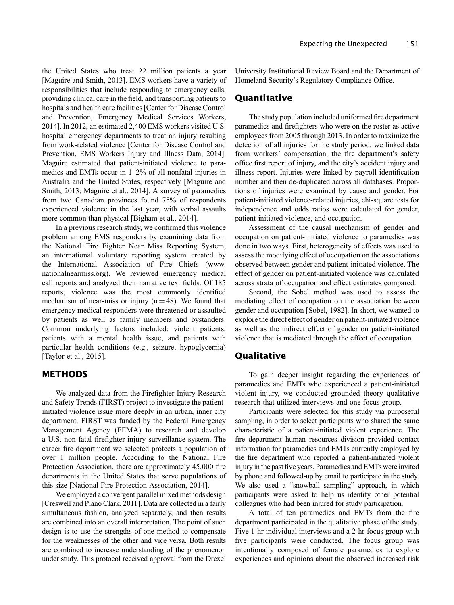the United States who treat 22 million patients a year [Maguire and Smith, 2013]. EMS workers have a variety of responsibilities that include responding to emergency calls, providing clinical care in the field, and transporting patients to hospitals and health care facilities [Center for Disease Control and Prevention, Emergency Medical Services Workers, 2014]. In 2012, an estimated 2,400 EMS workers visited U.S. hospital emergency departments to treat an injury resulting from work-related violence [Center for Disease Control and Prevention, EMS Workers Injury and Illness Data, 2014]. Maguire estimated that patient-initiated violence to paramedics and EMTs occur in 1–2% of all nonfatal injuries in Australia and the United States, respectively [Maguire and Smith, 2013; Maguire et al., 2014]. A survey of paramedics from two Canadian provinces found 75% of respondents experienced violence in the last year, with verbal assaults more common than physical [Bigham et al., 2014].

In a previous research study, we confirmed this violence problem among EMS responders by examining data from the National Fire Fighter Near Miss Reporting System, an international voluntary reporting system created by the International Association of Fire Chiefs [\(www.](www.nationalnearmiss.org) [nationalnearmiss.org](www.nationalnearmiss.org)). We reviewed emergency medical call reports and analyzed their narrative text fields. Of 185 reports, violence was the most commonly identified mechanism of near-miss or injury ( $n = 48$ ). We found that emergency medical responders were threatened or assaulted by patients as well as family members and bystanders. Common underlying factors included: violent patients, patients with a mental health issue, and patients with particular health conditions (e.g., seizure, hypoglycemia) [Taylor et al., 2015].

#### METHODS

We analyzed data from the Firefighter Injury Research and Safety Trends (FIRST) project to investigate the patientinitiated violence issue more deeply in an urban, inner city department. FIRST was funded by the Federal Emergency Management Agency (FEMA) to research and develop a U.S. non-fatal firefighter injury surveillance system. The career fire department we selected protects a population of over 1 million people. According to the National Fire Protection Association, there are approximately 45,000 fire departments in the United States that serve populations of this size [National Fire Protection Association, 2014].

We employed a convergent parallel mixed methods design [Creswell and Plano Clark, 2011]. Data are collected in a fairly simultaneous fashion, analyzed separately, and then results are combined into an overall interpretation. The point of such design is to use the strengths of one method to compensate for the weaknesses of the other and vice versa. Both results are combined to increase understanding of the phenomenon under study. This protocol received approval from the Drexel

University Institutional Review Board and the Department of Homeland Security's Regulatory Compliance Office.

## Quantitative

The study population included uniformed fire department paramedics and firefighters who were on the roster as active employees from 2005 through 2013. In order to maximize the detection of all injuries for the study period, we linked data from workers' compensation, the fire department's safety office first report of injury, and the city's accident injury and illness report. Injuries were linked by payroll identification number and then de-duplicated across all databases. Proportions of injuries were examined by cause and gender. For patient-initiated violence-related injuries, chi-square tests for independence and odds ratios were calculated for gender, patient-initiated violence, and occupation.

Assessment of the causal mechanism of gender and occupation on patient-initiated violence to paramedics was done in two ways. First, heterogeneity of effects was used to assess the modifying effect of occupation on the associations observed between gender and patient-initiated violence. The effect of gender on patient-initiated violence was calculated across strata of occupation and effect estimates compared.

Second, the Sobel method was used to assess the mediating effect of occupation on the association between gender and occupation [Sobel, 1982]. In short, we wanted to explore the direct effect of gender on patient-initiated violence as well as the indirect effect of gender on patient-initiated violence that is mediated through the effect of occupation.

## **Qualitative**

To gain deeper insight regarding the experiences of paramedics and EMTs who experienced a patient-initiated violent injury, we conducted grounded theory qualitative research that utilized interviews and one focus group.

Participants were selected for this study via purposeful sampling, in order to select participants who shared the same characteristic of a patient-initiated violent experience. The fire department human resources division provided contact information for paramedics and EMTs currently employed by the fire department who reported a patient-initiated violent injury in the past five years. Paramedics and EMTs were invited by phone and followed-up by email to participate in the study. We also used a "snowball sampling" approach, in which participants were asked to help us identify other potential colleagues who had been injured for study participation.

A total of ten paramedics and EMTs from the fire department participated in the qualitative phase of the study. Five 1-hr individual interviews and a 2-hr focus group with five participants were conducted. The focus group was intentionally composed of female paramedics to explore experiences and opinions about the observed increased risk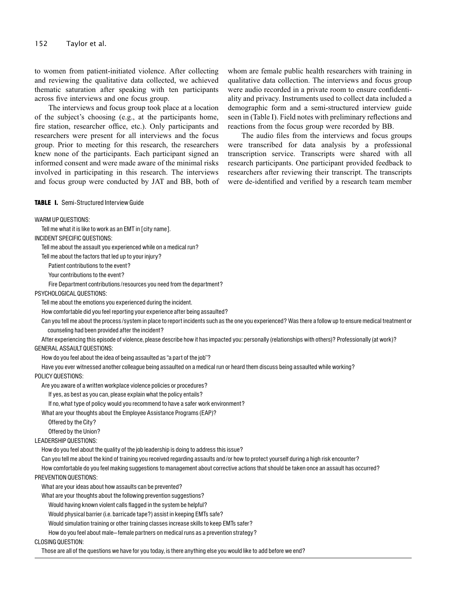to women from patient-initiated violence. After collecting and reviewing the qualitative data collected, we achieved thematic saturation after speaking with ten participants across five interviews and one focus group.

The interviews and focus group took place at a location of the subject's choosing (e.g., at the participants home, fire station, researcher office, etc.). Only participants and researchers were present for all interviews and the focus group. Prior to meeting for this research, the researchers knew none of the participants. Each participant signed an informed consent and were made aware of the minimal risks involved in participating in this research. The interviews and focus group were conducted by JAT and BB, both of whom are female public health researchers with training in qualitative data collection. The interviews and focus group were audio recorded in a private room to ensure confidentiality and privacy. Instruments used to collect data included a demographic form and a semi-structured interview guide seen in (Table I). Field notes with preliminary reflections and reactions from the focus group were recorded by BB.

The audio files from the interviews and focus groups were transcribed for data analysis by a professional transcription service. Transcripts were shared with all research participants. One participant provided feedback to researchers after reviewing their transcript. The transcripts were de-identified and verified by a research team member

#### TABLE I. Semi-Structured Interview Guide

WARM UP QUESTIONS: Tell me what it is like to work as an EMT in [city name]. INCIDENT SPECIFIC QUESTIONS: Tell me about the assault you experienced while on a medical run? Tell me about the factors that led up to your injury? Patient contributions to the event? Your contributions to the event? Fire Department contributions/resources you need from the department? PSYCHOLOGICAL QUESTIONS: Tell me about the emotions you experienced during the incident. How comfortable did you feel reporting your experience after being assaulted? Can you tell me about the process/system in place to report incidents such as the one you experienced? Was there a follow up to ensure medical treatment or counseling had been provided after the incident? After experiencing this episode of violence, please describe how it has impacted you: personally (relationships with others)? Professionally (at work)? GENERAL ASSAULT QUESTIONS: How do you feel about the idea of being assaulted as "a part of the job"? Have you ever witnessed another colleague being assaulted on a medical run or heard them discuss being assaulted while working? POLICY QUESTIONS: Are you aware of a written workplace violence policies or procedures? If yes, as best as you can, please explain what the policy entails? If no, what type of policy would you recommend to have a safer work environment? What are your thoughts about the Employee Assistance Programs (EAP)? Offered by the City? Offered by the Union? LEADERSHIP QUESTIONS: How do you feel about the quality of the job leadership is doing to address this issue? Can you tell me about the kind of training you received regarding assaults and/or how to protect yourself during a high risk encounter? How comfortable do you feel making suggestions to management about corrective actions that should be taken once an assault has occurred? PREVENTION QUESTIONS: What are your ideas about how assaults can be prevented? What are your thoughts about the following prevention suggestions? Would having known violent calls flagged in the system be helpful? Would physical barrier (i.e. barricade tape?) assist in keeping EMTs safe? Would simulation training or other training classes increase skills to keep EMTs safer? How do you feel about male–female partners on medical runs as a prevention strategy? CLOSING QUESTION: Those are all of the questions we have for you today, is there anything else you would like to add before we end?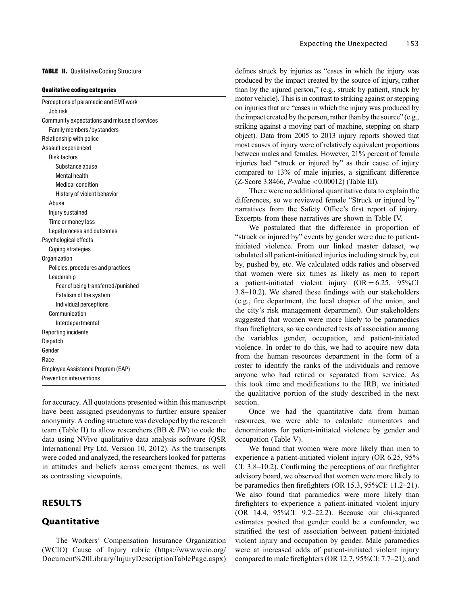#### **TABLE II.** Qualitative Coding Structure

#### Qualitative coding categories

| Perceptions of paramedic and EMT work         |  |  |  |
|-----------------------------------------------|--|--|--|
| Job risk                                      |  |  |  |
| Community expectations and misuse of services |  |  |  |
| Family members/bystanders                     |  |  |  |
| Relationship with police                      |  |  |  |
| Assault experienced                           |  |  |  |
| <b>Risk factors</b>                           |  |  |  |
| Substance abuse                               |  |  |  |
| <b>Mental health</b>                          |  |  |  |
| <b>Medical condition</b>                      |  |  |  |
| History of violent behavior                   |  |  |  |
| Abuse                                         |  |  |  |
| Injury sustained                              |  |  |  |
| Time or money loss                            |  |  |  |
| Legal process and outcomes                    |  |  |  |
| Psychological effects                         |  |  |  |
| Coping strategies                             |  |  |  |
| Organization                                  |  |  |  |
| Policies, procedures and practices            |  |  |  |
| Leadership                                    |  |  |  |
| Fear of being transferred/punished            |  |  |  |
| Fatalism of the system                        |  |  |  |
| Individual perceptions                        |  |  |  |
| Communication                                 |  |  |  |
| Interdepartmental                             |  |  |  |
| Reporting incidents                           |  |  |  |
| <b>Dispatch</b>                               |  |  |  |
| Gender                                        |  |  |  |
| Race                                          |  |  |  |
| Employee Assistance Program (EAP)             |  |  |  |
| <b>Prevention interventions</b>               |  |  |  |

for accuracy. All quotations presented within this manuscript have been assigned pseudonyms to further ensure speaker anonymity. A coding structure was developed by the research team (Table II) to allow researchers (BB & JW) to code the data using NVivo qualitative data analysis software (QSR International Pty Ltd. Version 10, 2012). As the transcripts were coded and analyzed, the researchers looked for patterns in attitudes and beliefs across emergent themes, as well as contrasting viewpoints.

# RESULTS

#### Quantitative

defines struck by injuries as "cases in which the injury was produced by the impact created by the source of injury, rather than by the injured person," (e.g., struck by patient, struck by motor vehicle). This is in contrast to striking against or stepping on injuries that are "cases in which the injury was produced by the impact created by the person, rather than by the source" (e.g., striking against a moving part of machine, stepping on sharp object). Data from 2005 to 2013 injury reports showed that most causes of injury were of relatively equivalent proportions between males and females. However, 21% percent of female injuries had "struck or injured by" as their cause of injury compared to 13% of male injuries, a significant difference (Z-Score 3.8466, P-value <0.00012) (Table III).

There were no additional quantitative data to explain the differences, so we reviewed female "Struck or injured by" narratives from the Safety Office's first report of injury. Excerpts from these narratives are shown in Table IV.

We postulated that the difference in proportion of "struck or injured by" events by gender were due to patientinitiated violence. From our linked master dataset, we tabulated all patient-initiated injuries including struck by, cut by, pushed by, etc. We calculated odds ratios and observed that women were six times as likely as men to report a patient-initiated violent injury  $(OR = 6.25, 95\% CI)$ 3.8–10.2). We shared these findings with our stakeholders (e.g., fire department, the local chapter of the union, and the city's risk management department). Our stakeholders suggested that women were more likely to be paramedics than firefighters, so we conducted tests of association among the variables gender, occupation, and patient-initiated violence. In order to do this, we had to acquire new data from the human resources department in the form of a roster to identify the ranks of the individuals and remove anyone who had retired or separated from service. As this took time and modifications to the IRB, we initiated the qualitative portion of the study described in the next section.

Once we had the quantitative data from human resources, we were able to calculate numerators and denominators for patient-initiated violence by gender and occupation (Table V).

We found that women were more likely than men to experience a patient-initiated violent injury (OR 6.25, 95% CI: 3.8–10.2). Confirming the perceptions of our firefighter advisory board, we observed that women were more likely to be paramedics then firefighters (OR 15.3, 95%CI: 11.2–21). We also found that paramedics were more likely than firefighters to experience a patient-initiated violent injury (OR 14.4, 95%CI: 9.2–22.2). Because our chi-squared estimates posited that gender could be a confounder, we stratified the test of association between patient-initiated violent injury and occupation by gender. Male paramedics were at increased odds of patient-initiated violent injury compared to male firefighters (OR 12.7, 95%CI: 7.7–21), and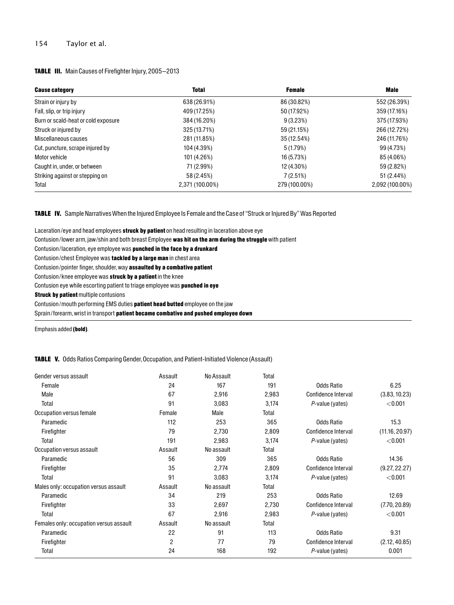#### 154 Taylor et al.

#### TABLE III. Main Causes of Firefighter Injury, 2005-2013

| <b>Cause category</b>               | <b>Total</b>    | <b>Female</b> | Male            |  |
|-------------------------------------|-----------------|---------------|-----------------|--|
| Strain or injury by                 | 638 (26.91%)    | 86 (30.82%)   | 552 (26.39%)    |  |
| Fall, slip, or trip injury          | 409 (17.25%)    | 50 (17.92%)   | 359 (17.16%)    |  |
| Burn or scald-heat or cold exposure | 384 (16.20%)    | 9(3.23%)      | 375 (17.93%)    |  |
| Struck or injured by                | 325 (13.71%)    | 59 (21.15%)   | 266 (12.72%)    |  |
| Miscellaneous causes                | 281 (11.85%)    | 35 (12.54%)   | 246 (11.76%)    |  |
| Cut, puncture, scrape injured by    | 104 (4.39%)     | 5(1.79%)      | 99 (4.73%)      |  |
| Motor vehicle                       | 101 (4.26%)     | 16 (5.73%)    | 85 (4.06%)      |  |
| Caught in, under, or between        | 71 (2.99%)      | 12 (4.30%)    | 59 (2.82%)      |  |
| Striking against or stepping on     | 58 (2.45%)      | 7(2.51%)      | 51 (2.44%)      |  |
| Total                               | 2,371 (100.00%) | 279 (100.00%) | 2,092 (100.00%) |  |

TABLE IV. Sample NarrativesWhen the Injured Employee Is Female and the Case of ''Struck or Injured By'' Was Reported

Laceration/eye and head employees struck by patient on head resulting in laceration above eye

- Contusion/lower arm, jaw/shin and both breast Employee was hit on the arm during the struggle with patient
- Contusion/laceration, eye employee was punched in the face by a drunkard
- Contusion/chest Employee was tackled by a large man in chest area

Contusion/pointer finger, shoulder, way assaulted by a combative patient

Contusion/knee employee was struck by a patient in the knee

Contusion eye while escorting patient to triage employee was punched in eye

**Struck by patient multiple contusions** 

Contusion/mouth performing EMS duties patient head butted employee on the jaw

Sprain/forearm, wrist in transport patient became combative and pushed employee down

Emphasis added (bold).

TABLE V. Odds Ratios Comparing Gender, Occupation, and Patient-Initiated Violence (Assault)

| Gender versus assault                   | Assault | No Assault | Total |                     |                |
|-----------------------------------------|---------|------------|-------|---------------------|----------------|
| Female                                  | 24      | 167        | 191   | <b>Odds Ratio</b>   | 6.25           |
| Male                                    | 67      | 2,916      | 2,983 | Confidence Interval | (3.83, 10.23)  |
| Total                                   | 91      | 3,083      | 3,174 | P-value (yates)     | < 0.001        |
| Occupation versus female                | Female  | Male       | Total |                     |                |
| Paramedic                               | 112     | 253        | 365   | Odds Ratio          | 15.3           |
| Firefighter                             | 79      | 2,730      | 2,809 | Confidence Interval | (11.16, 20.97) |
| Total                                   | 191     | 2,983      | 3,174 | P-value (yates)     | < 0.001        |
| Occupation versus assault               | Assault | No assault | Total |                     |                |
| Paramedic                               | 56      | 309        | 365   | <b>Odds Ratio</b>   | 14.36          |
| Firefighter                             | 35      | 2,774      | 2,809 | Confidence Interval | (9.27, 22.27)  |
| Total                                   | 91      | 3,083      | 3,174 | P-value (yates)     | < 0.001        |
| Males only: occupation versus assault   | Assault | No assault | Total |                     |                |
| Paramedic                               | 34      | 219        | 253   | Odds Ratio          | 12.69          |
| Firefighter                             | 33      | 2,697      | 2,730 | Confidence Interval | (7.70, 20.89)  |
| Total                                   | 67      | 2,916      | 2,983 | P-value (yates)     | < 0.001        |
| Females only: occupation versus assault | Assault | No assault | Total |                     |                |
| Paramedic                               | 22      | 91         | 113   | Odds Ratio          | 9.31           |
| Firefighter                             | 2       | 77         | 79    | Confidence Interval | (2.12, 40.85)  |
| Total                                   | 24      | 168        | 192   | P-value (yates)     | 0.001          |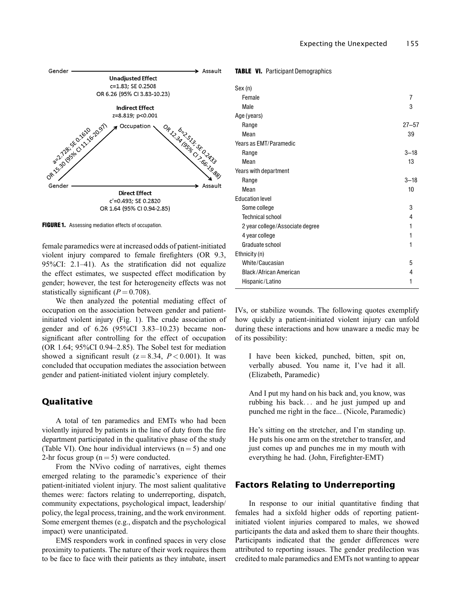

FIGURE 1. Assessing mediation effects of occupation.

female paramedics were at increased odds of patient-initiated violent injury compared to female firefighters (OR 9.3, 95%CI: 2.1–41). As the stratification did not equalize the effect estimates, we suspected effect modification by gender; however, the test for heterogeneity effects was not statistically significant ( $P = 0.708$ ).

We then analyzed the potential mediating effect of occupation on the association between gender and patientinitiated violent injury (Fig. 1). The crude association of gender and of 6.26 (95%CI 3.83–10.23) became nonsignificant after controlling for the effect of occupation (OR 1.64; 95%CI 0.94–2.85). The Sobel test for mediation showed a significant result ( $z = 8.34$ ,  $P < 0.001$ ). It was concluded that occupation mediates the association between gender and patient-initiated violent injury completely.

#### **Qualitative**

A total of ten paramedics and EMTs who had been violently injured by patients in the line of duty from the fire department participated in the qualitative phase of the study (Table VI). One hour individual interviews  $(n = 5)$  and one 2-hr focus group  $(n = 5)$  were conducted.

From the NVivo coding of narratives, eight themes emerged relating to the paramedic's experience of their patient-initiated violent injury. The most salient qualitative themes were: factors relating to underreporting, dispatch, community expectations, psychological impact, leadership/ policy, the legal process, training, and the work environment. Some emergent themes (e.g., dispatch and the psychological impact) were unanticipated.

EMS responders work in confined spaces in very close proximity to patients. The nature of their work requires them to be face to face with their patients as they intubate, insert

#### Expecting the Unexpected 155

TABLE VI. Participant Demographics

| Sex (n)                         |           |
|---------------------------------|-----------|
| Female                          | 7         |
| Male                            | 3         |
| Age (years)                     |           |
| Range                           | $27 - 57$ |
| Mean                            | 39        |
| Years as EMT/Paramedic          |           |
| Range                           | $3 - 18$  |
| Mean                            | 13        |
| Years with department           |           |
| Range                           | $3 - 18$  |
| Mean                            | 10        |
| <b>Education level</b>          |           |
| Some college                    | 3         |
| <b>Technical school</b>         | 4         |
| 2 year college/Associate degree | 1         |
| 4 year college                  | 1         |
| Graduate school                 | 1         |
| Ethnicity (n)                   |           |
| White/Caucasian                 | 5         |
| <b>Black/African American</b>   | 4         |
| Hispanic/Latino                 | 1         |

IVs, or stabilize wounds. The following quotes exemplify how quickly a patient-initiated violent injury can unfold during these interactions and how unaware a medic may be of its possibility:

I have been kicked, punched, bitten, spit on, verbally abused. You name it, I've had it all. (Elizabeth, Paramedic)

And I put my hand on his back and, you know, was rubbing his back... and he just jumped up and punched me right in the face... (Nicole, Paramedic)

He's sitting on the stretcher, and I'm standing up. He puts his one arm on the stretcher to transfer, and just comes up and punches me in my mouth with everything he had. (John, Firefighter-EMT)

## Factors Relating to Underreporting

In response to our initial quantitative finding that females had a sixfold higher odds of reporting patientinitiated violent injuries compared to males, we showed participants the data and asked them to share their thoughts. Participants indicated that the gender differences were attributed to reporting issues. The gender predilection was credited to male paramedics and EMTs not wanting to appear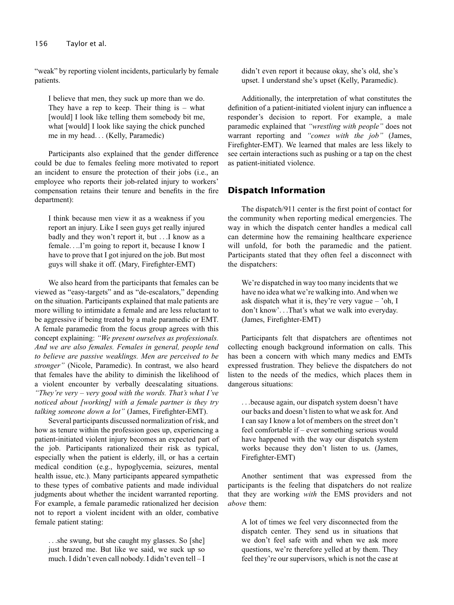"weak" by reporting violent incidents, particularly by female patients.

I believe that men, they suck up more than we do. They have a rep to keep. Their thing is  $-$  what [would] I look like telling them somebody bit me, what [would] I look like saying the chick punched me in my head... (Kelly, Paramedic)

Participants also explained that the gender difference could be due to females feeling more motivated to report an incident to ensure the protection of their jobs (i.e., an employee who reports their job-related injury to workers' compensation retains their tenure and benefits in the fire department):

I think because men view it as a weakness if you report an injury. Like I seen guys get really injured badly and they won't report it, but ...I know as a female....I'm going to report it, because I know I have to prove that I got injured on the job. But most guys will shake it off. (Mary, Firefighter-EMT)

We also heard from the participants that females can be viewed as "easy-targets" and as "de-escalators," depending on the situation. Participants explained that male patients are more willing to intimidate a female and are less reluctant to be aggressive if being treated by a male paramedic or EMT. A female paramedic from the focus group agrees with this concept explaining: "We present ourselves as professionals. And we are also females. Females in general, people tend to believe are passive weaklings. Men are perceived to be stronger" (Nicole, Paramedic). In contrast, we also heard that females have the ability to diminish the likelihood of a violent encounter by verbally deescalating situations. "They're very – very good with the words. That's what I've noticed about [working] with a female partner is they try talking someone down a lot" (James, Firefighter-EMT).

Several participants discussed normalization of risk, and how as tenure within the profession goes up, experiencing a patient-initiated violent injury becomes an expected part of the job. Participants rationalized their risk as typical, especially when the patient is elderly, ill, or has a certain medical condition (e.g., hypoglycemia, seizures, mental health issue, etc.). Many participants appeared sympathetic to these types of combative patients and made individual judgments about whether the incident warranted reporting. For example, a female paramedic rationalized her decision not to report a violent incident with an older, combative female patient stating:

...she swung, but she caught my glasses. So [she] just brazed me. But like we said, we suck up so much. I didn't even call nobody. I didn't even tell – I didn't even report it because okay, she's old, she's upset. I understand she's upset (Kelly, Paramedic).

Additionally, the interpretation of what constitutes the definition of a patient-initiated violent injury can influence a responder's decision to report. For example, a male paramedic explained that "wrestling with people" does not warrant reporting and "comes with the job" (James, Firefighter-EMT). We learned that males are less likely to see certain interactions such as pushing or a tap on the chest as patient-initiated violence.

# Dispatch Information

The dispatch/911 center is the first point of contact for the community when reporting medical emergencies. The way in which the dispatch center handles a medical call can determine how the remaining healthcare experience will unfold, for both the paramedic and the patient. Participants stated that they often feel a disconnect with the dispatchers:

We're dispatched in way too many incidents that we have no idea what we're walking into. And when we ask dispatch what it is, they're very vague – 'oh, I don't know'...That's what we walk into everyday. (James, Firefighter-EMT)

Participants felt that dispatchers are oftentimes not collecting enough background information on calls. This has been a concern with which many medics and EMTs expressed frustration. They believe the dispatchers do not listen to the needs of the medics, which places them in dangerous situations:

...because again, our dispatch system doesn't have our backs and doesn't listen to what we ask for. And I can say I know a lot of members on the street don't feel comfortable if – ever something serious would have happened with the way our dispatch system works because they don't listen to us. (James, Firefighter-EMT)

Another sentiment that was expressed from the participants is the feeling that dispatchers do not realize that they are working with the EMS providers and not above them:

A lot of times we feel very disconnected from the dispatch center. They send us in situations that we don't feel safe with and when we ask more questions, we're therefore yelled at by them. They feel they're our supervisors, which is not the case at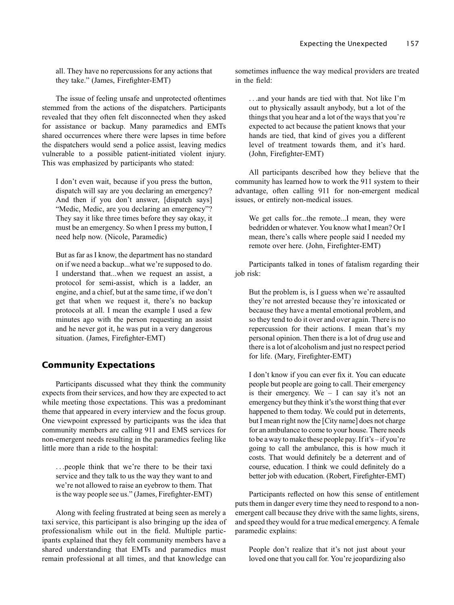all. They have no repercussions for any actions that they take." (James, Firefighter-EMT)

The issue of feeling unsafe and unprotected oftentimes stemmed from the actions of the dispatchers. Participants revealed that they often felt disconnected when they asked for assistance or backup. Many paramedics and EMTs shared occurrences where there were lapses in time before the dispatchers would send a police assist, leaving medics vulnerable to a possible patient-initiated violent injury. This was emphasized by participants who stated:

I don't even wait, because if you press the button, dispatch will say are you declaring an emergency? And then if you don't answer, [dispatch says] "Medic, Medic, are you declaring an emergency"? They say it like three times before they say okay, it must be an emergency. So when I press my button, I need help now. (Nicole, Paramedic)

But as far as I know, the department has no standard on if we need a backup...what we're supposed to do. I understand that...when we request an assist, a protocol for semi-assist, which is a ladder, an engine, and a chief, but at the same time, if we don't get that when we request it, there's no backup protocols at all. I mean the example I used a few minutes ago with the person requesting an assist and he never got it, he was put in a very dangerous situation. (James, Firefighter-EMT)

# Community Expectations

Participants discussed what they think the community expects from their services, and how they are expected to act while meeting those expectations. This was a predominant theme that appeared in every interview and the focus group. One viewpoint expressed by participants was the idea that community members are calling 911 and EMS services for non-emergent needs resulting in the paramedics feeling like little more than a ride to the hospital:

...people think that we're there to be their taxi service and they talk to us the way they want to and we're not allowed to raise an eyebrow to them. That is the way people see us." (James, Firefighter-EMT)

Along with feeling frustrated at being seen as merely a taxi service, this participant is also bringing up the idea of professionalism while out in the field. Multiple participants explained that they felt community members have a shared understanding that EMTs and paramedics must remain professional at all times, and that knowledge can

sometimes influence the way medical providers are treated in the field:

...and your hands are tied with that. Not like I'm out to physically assault anybody, but a lot of the things that you hear and a lot of the ways that you're expected to act because the patient knows that your hands are tied, that kind of gives you a different level of treatment towards them, and it's hard. (John, Firefighter-EMT)

All participants described how they believe that the community has learned how to work the 911 system to their advantage, often calling 911 for non-emergent medical issues, or entirely non-medical issues.

We get calls for...the remote...I mean, they were bedridden or whatever. You know what I mean? Or I mean, there's calls where people said I needed my remote over here. (John, Firefighter-EMT)

Participants talked in tones of fatalism regarding their job risk:

But the problem is, is I guess when we're assaulted they're not arrested because they're intoxicated or because they have a mental emotional problem, and so they tend to do it over and over again. There is no repercussion for their actions. I mean that's my personal opinion. Then there is a lot of drug use and there is a lot of alcoholism and just no respect period for life. (Mary, Firefighter-EMT)

I don't know if you can ever fix it. You can educate people but people are going to call. Their emergency is their emergency. We  $-$  I can say it's not an emergency but they think it's the worst thing that ever happened to them today. We could put in deterrents, but I mean right now the [City name] does not charge for an ambulance to come to your house. There needs to be a way to make these people pay. If it's – if you're going to call the ambulance, this is how much it costs. That would definitely be a deterrent and of course, education. I think we could definitely do a better job with education. (Robert, Firefighter-EMT)

Participants reflected on how this sense of entitlement puts them in danger every time they need to respond to a nonemergent call because they drive with the same lights, sirens, and speed they would for a true medical emergency. A female paramedic explains:

People don't realize that it's not just about your loved one that you call for. You're jeopardizing also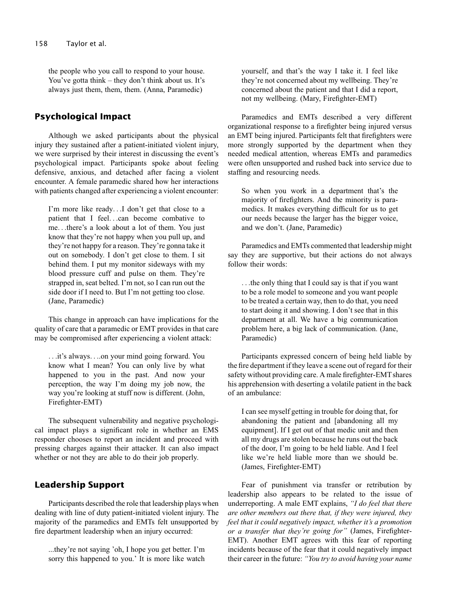the people who you call to respond to your house. You've gotta think – they don't think about us. It's always just them, them, them. (Anna, Paramedic)

# Psychological Impact

Although we asked participants about the physical injury they sustained after a patient-initiated violent injury, we were surprised by their interest in discussing the event's psychological impact. Participants spoke about feeling defensive, anxious, and detached after facing a violent encounter. A female paramedic shared how her interactions with patients changed after experiencing a violent encounter:

I'm more like ready...I don't get that close to a patient that I feel...can become combative to me...there's a look about a lot of them. You just know that they're not happy when you pull up, and they're not happy for a reason. They're gonna take it out on somebody. I don't get close to them. I sit behind them. I put my monitor sideways with my blood pressure cuff and pulse on them. They're strapped in, seat belted. I'm not, so I can run out the side door if I need to. But I'm not getting too close. (Jane, Paramedic)

This change in approach can have implications for the quality of care that a paramedic or EMT provides in that care may be compromised after experiencing a violent attack:

...it's always....on your mind going forward. You know what I mean? You can only live by what happened to you in the past. And now your perception, the way I'm doing my job now, the way you're looking at stuff now is different. (John, Firefighter-EMT)

The subsequent vulnerability and negative psychological impact plays a significant role in whether an EMS responder chooses to report an incident and proceed with pressing charges against their attacker. It can also impact whether or not they are able to do their job properly.

# Leadership Support

Participants described the role that leadership plays when dealing with line of duty patient-initiated violent injury. The majority of the paramedics and EMTs felt unsupported by fire department leadership when an injury occurred:

...they're not saying 'oh, I hope you get better. I'm sorry this happened to you.' It is more like watch

yourself, and that's the way I take it. I feel like they're not concerned about my wellbeing. They're concerned about the patient and that I did a report, not my wellbeing. (Mary, Firefighter-EMT)

Paramedics and EMTs described a very different organizational response to a firefighter being injured versus an EMT being injured. Participants felt that firefighters were more strongly supported by the department when they needed medical attention, whereas EMTs and paramedics were often unsupported and rushed back into service due to staffing and resourcing needs.

So when you work in a department that's the majority of firefighters. And the minority is paramedics. It makes everything difficult for us to get our needs because the larger has the bigger voice, and we don't. (Jane, Paramedic)

Paramedics and EMTs commented that leadership might say they are supportive, but their actions do not always follow their words:

...the only thing that I could say is that if you want to be a role model to someone and you want people to be treated a certain way, then to do that, you need to start doing it and showing. I don't see that in this department at all. We have a big communication problem here, a big lack of communication. (Jane, Paramedic)

Participants expressed concern of being held liable by the fire department if they leave a scene out of regard for their safety without providing care. A male firefighter-EMT shares his apprehension with deserting a volatile patient in the back of an ambulance:

I can see myself getting in trouble for doing that, for abandoning the patient and [abandoning all my equipment]. If I get out of that medic unit and then all my drugs are stolen because he runs out the back of the door, I'm going to be held liable. And I feel like we're held liable more than we should be. (James, Firefighter-EMT)

Fear of punishment via transfer or retribution by leadership also appears to be related to the issue of underreporting. A male EMT explains, "I do feel that there are other members out there that, if they were injured, they feel that it could negatively impact, whether it's a promotion or a transfer that they're going for" (James, Firefighter-EMT). Another EMT agrees with this fear of reporting incidents because of the fear that it could negatively impact their career in the future: "You try to avoid having your name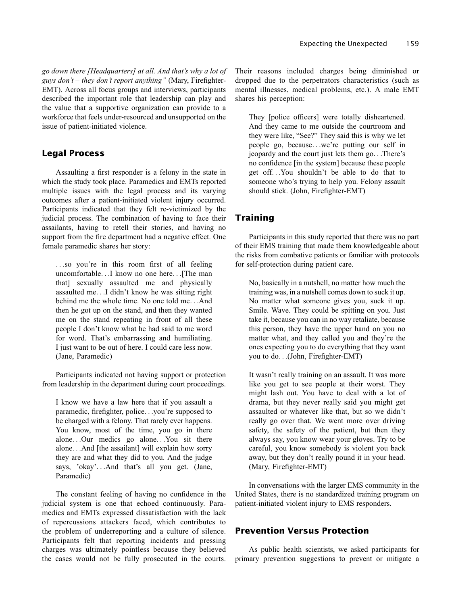go down there [Headquarters] at all. And that's why a lot of guys don't – they don't report anything" (Mary, Firefighter-EMT). Across all focus groups and interviews, participants described the important role that leadership can play and the value that a supportive organization can provide to a workforce that feels under-resourced and unsupported on the issue of patient-initiated violence.

## Legal Process

Assaulting a first responder is a felony in the state in which the study took place. Paramedics and EMTs reported multiple issues with the legal process and its varying outcomes after a patient-initiated violent injury occurred. Participants indicated that they felt re-victimized by the judicial process. The combination of having to face their assailants, having to retell their stories, and having no support from the fire department had a negative effect. One female paramedic shares her story:

...so you're in this room first of all feeling uncomfortable...I know no one here...[The man that] sexually assaulted me and physically assaulted me...I didn't know he was sitting right behind me the whole time. No one told me...And then he got up on the stand, and then they wanted me on the stand repeating in front of all these people I don't know what he had said to me word for word. That's embarrassing and humiliating. I just want to be out of here. I could care less now. (Jane, Paramedic)

Participants indicated not having support or protection from leadership in the department during court proceedings.

I know we have a law here that if you assault a paramedic, firefighter, police...you're supposed to be charged with a felony. That rarely ever happens. You know, most of the time, you go in there alone...Our medics go alone...You sit there alone...And [the assailant] will explain how sorry they are and what they did to you. And the judge says, 'okay'...And that's all you get. (Jane, Paramedic)

The constant feeling of having no confidence in the judicial system is one that echoed continuously. Paramedics and EMTs expressed dissatisfaction with the lack of repercussions attackers faced, which contributes to the problem of underreporting and a culture of silence. Participants felt that reporting incidents and pressing charges was ultimately pointless because they believed the cases would not be fully prosecuted in the courts. Their reasons included charges being diminished or dropped due to the perpetrators characteristics (such as mental illnesses, medical problems, etc.). A male EMT shares his perception:

They [police officers] were totally disheartened. And they came to me outside the courtroom and they were like, "See?" They said this is why we let people go, because...we're putting our self in jeopardy and the court just lets them go...There's no confidence [in the system] because these people get off...You shouldn't be able to do that to someone who's trying to help you. Felony assault should stick. (John, Firefighter-EMT)

# Training

Participants in this study reported that there was no part of their EMS training that made them knowledgeable about the risks from combative patients or familiar with protocols for self-protection during patient care.

No, basically in a nutshell, no matter how much the training was, in a nutshell comes down to suck it up. No matter what someone gives you, suck it up. Smile. Wave. They could be spitting on you. Just take it, because you can in no way retaliate, because this person, they have the upper hand on you no matter what, and they called you and they're the ones expecting you to do everything that they want you to do...(John, Firefighter-EMT)

It wasn't really training on an assault. It was more like you get to see people at their worst. They might lash out. You have to deal with a lot of drama, but they never really said you might get assaulted or whatever like that, but so we didn't really go over that. We went more over driving safety, the safety of the patient, but then they always say, you know wear your gloves. Try to be careful, you know somebody is violent you back away, but they don't really pound it in your head. (Mary, Firefighter-EMT)

In conversations with the larger EMS community in the United States, there is no standardized training program on patient-initiated violent injury to EMS responders.

# Prevention Versus Protection

As public health scientists, we asked participants for primary prevention suggestions to prevent or mitigate a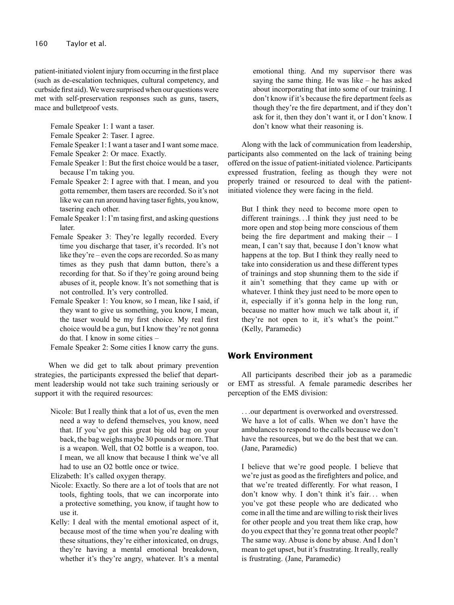patient-initiated violent injury from occurring in the first place (such as de-escalation techniques, cultural competency, and curbside first aid).We were surprised when our questions were met with self-preservation responses such as guns, tasers, mace and bulletproof vests.

Female Speaker 1: I want a taser.

- Female Speaker 2: Taser. I agree.
- Female Speaker 1: I want a taser and I want some mace.

Female Speaker 2: Or mace. Exactly.

- Female Speaker 1: But the first choice would be a taser, because I'm taking you.
- Female Speaker 2: I agree with that. I mean, and you gotta remember, them tasers are recorded. So it's not like we can run around having taser fights, you know, tasering each other.
- Female Speaker 1: I'm tasing first, and asking questions later.
- Female Speaker 3: They're legally recorded. Every time you discharge that taser, it's recorded. It's not like they're – even the cops are recorded. So as many times as they push that damn button, there's a recording for that. So if they're going around being abuses of it, people know. It's not something that is not controlled. It's very controlled.
- Female Speaker 1: You know, so I mean, like I said, if they want to give us something, you know, I mean, the taser would be my first choice. My real first choice would be a gun, but I know they're not gonna do that. I know in some cities –

Female Speaker 2: Some cities I know carry the guns.

When we did get to talk about primary prevention strategies, the participants expressed the belief that department leadership would not take such training seriously or support it with the required resources:

Nicole: But I really think that a lot of us, even the men need a way to defend themselves, you know, need that. If you've got this great big old bag on your back, the bag weighs maybe 30 pounds or more. That is a weapon. Well, that O2 bottle is a weapon, too. I mean, we all know that because I think we've all had to use an O2 bottle once or twice.

Elizabeth: It's called oxygen therapy.

- Nicole: Exactly. So there are a lot of tools that are not tools, fighting tools, that we can incorporate into a protective something, you know, if taught how to use it.
- Kelly: I deal with the mental emotional aspect of it, because most of the time when you're dealing with these situations, they're either intoxicated, on drugs, they're having a mental emotional breakdown, whether it's they're angry, whatever. It's a mental

emotional thing. And my supervisor there was saying the same thing. He was like – he has asked about incorporating that into some of our training. I don't know if it's because the fire department feels as though they're the fire department, and if they don't ask for it, then they don't want it, or I don't know. I don't know what their reasoning is.

Along with the lack of communication from leadership, participants also commented on the lack of training being offered on the issue of patient-initiated violence. Participants expressed frustration, feeling as though they were not properly trained or resourced to deal with the patientinitiated violence they were facing in the field.

But I think they need to become more open to different trainings...I think they just need to be more open and stop being more conscious of them being the fire department and making their  $-1$ mean, I can't say that, because I don't know what happens at the top. But I think they really need to take into consideration us and these different types of trainings and stop shunning them to the side if it ain't something that they came up with or whatever. I think they just need to be more open to it, especially if it's gonna help in the long run, because no matter how much we talk about it, if they're not open to it, it's what's the point." (Kelly, Paramedic)

# Work Environment

All participants described their job as a paramedic or EMT as stressful. A female paramedic describes her perception of the EMS division:

...our department is overworked and overstressed. We have a lot of calls. When we don't have the ambulances to respond to the calls because we don't have the resources, but we do the best that we can. (Jane, Paramedic)

I believe that we're good people. I believe that we're just as good as the firefighters and police, and that we're treated differently. For what reason, I don't know why. I don't think it's fair... when you've got these people who are dedicated who come in all the time and are willing to risk their lives for other people and you treat them like crap, how do you expect that they're gonna treat other people? The same way. Abuse is done by abuse. And I don't mean to get upset, but it's frustrating. It really, really is frustrating. (Jane, Paramedic)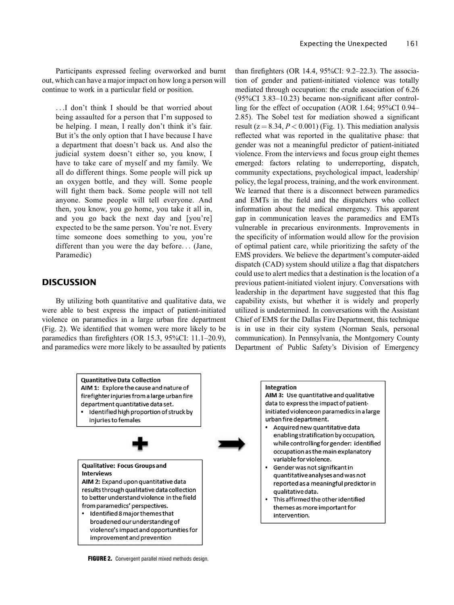Participants expressed feeling overworked and burnt out, which can have a major impact on how long a person will continue to work in a particular field or position.

...I don't think I should be that worried about being assaulted for a person that I'm supposed to be helping. I mean, I really don't think it's fair. But it's the only option that I have because I have a department that doesn't back us. And also the judicial system doesn't either so, you know, I have to take care of myself and my family. We all do different things. Some people will pick up an oxygen bottle, and they will. Some people will fight them back. Some people will not tell anyone. Some people will tell everyone. And then, you know, you go home, you take it all in, and you go back the next day and [you're] expected to be the same person. You're not. Every time someone does something to you, you're different than you were the day before... (Jane, Paramedic)

#### **DISCUSSION**

By utilizing both quantitative and qualitative data, we were able to best express the impact of patient-initiated violence on paramedics in a large urban fire department (Fig. 2). We identified that women were more likely to be paramedics than firefighters (OR 15.3, 95%CI: 11.1–20.9), and paramedics were more likely to be assaulted by patients

than firefighters (OR 14.4, 95%CI: 9.2–22.3). The association of gender and patient-initiated violence was totally mediated through occupation: the crude association of 6.26 (95%CI 3.83–10.23) became non-significant after controlling for the effect of occupation (AOR 1.64; 95%CI 0.94– 2.85). The Sobel test for mediation showed a significant result ( $z = 8.34, P < 0.001$ ) (Fig. 1). This mediation analysis reflected what was reported in the qualitative phase: that gender was not a meaningful predictor of patient-initiated violence. From the interviews and focus group eight themes emerged: factors relating to underreporting, dispatch, community expectations, psychological impact, leadership/ policy, the legal process, training, and the work environment. We learned that there is a disconnect between paramedics and EMTs in the field and the dispatchers who collect information about the medical emergency. This apparent gap in communication leaves the paramedics and EMTs vulnerable in precarious environments. Improvements in the specificity of information would allow for the provision of optimal patient care, while prioritizing the safety of the EMS providers. We believe the department's computer-aided dispatch (CAD) system should utilize a flag that dispatchers could use to alert medics that a destination is the location of a previous patient-initiated violent injury. Conversations with leadership in the department have suggested that this flag capability exists, but whether it is widely and properly utilized is undetermined. In conversations with the Assistant Chief of EMS for the Dallas Fire Department, this technique is in use in their city system (Norman Seals, personal communication). In Pennsylvania, the Montgomery County Department of Public Safety's Division of Emergency



FIGURE 2. Convergent parallel mixed methods design.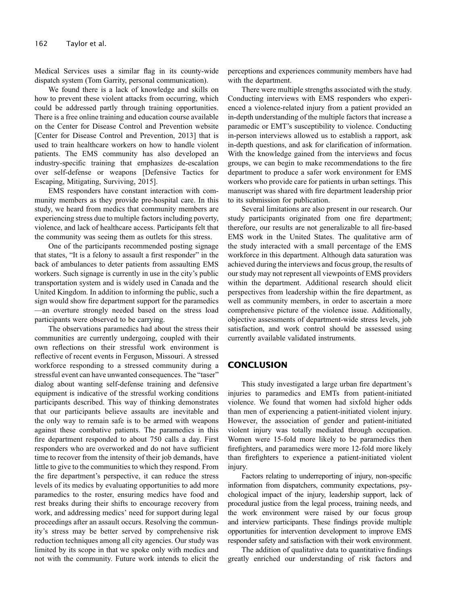Medical Services uses a similar flag in its county-wide dispatch system (Tom Garrity, personal communication).

We found there is a lack of knowledge and skills on how to prevent these violent attacks from occurring, which could be addressed partly through training opportunities. There is a free online training and education course available on the Center for Disease Control and Prevention website [Center for Disease Control and Prevention, 2013] that is used to train healthcare workers on how to handle violent patients. The EMS community has also developed an industry-specific training that emphasizes de-escalation over self-defense or weapons [Defensive Tactics for Escaping, Mitigating, Surviving, 2015].

EMS responders have constant interaction with community members as they provide pre-hospital care. In this study, we heard from medics that community members are experiencing stress due to multiple factors including poverty, violence, and lack of healthcare access. Participants felt that the community was seeing them as outlets for this stress.

One of the participants recommended posting signage that states, "It is a felony to assault a first responder" in the back of ambulances to deter patients from assaulting EMS workers. Such signage is currently in use in the city's public transportation system and is widely used in Canada and the United Kingdom. In addition to informing the public, such a sign would show fire department support for the paramedics —an overture strongly needed based on the stress load participants were observed to be carrying.

The observations paramedics had about the stress their communities are currently undergoing, coupled with their own reflections on their stressful work environment is reflective of recent events in Ferguson, Missouri. A stressed workforce responding to a stressed community during a stressful event can have unwanted consequences. The "taser" dialog about wanting self-defense training and defensive equipment is indicative of the stressful working conditions participants described. This way of thinking demonstrates that our participants believe assaults are inevitable and the only way to remain safe is to be armed with weapons against these combative patients. The paramedics in this fire department responded to about 750 calls a day. First responders who are overworked and do not have sufficient time to recover from the intensity of their job demands, have little to give to the communities to which they respond. From the fire department's perspective, it can reduce the stress levels of its medics by evaluating opportunities to add more paramedics to the roster, ensuring medics have food and rest breaks during their shifts to encourage recovery from work, and addressing medics' need for support during legal proceedings after an assault occurs. Resolving the community's stress may be better served by comprehensive risk reduction techniques among all city agencies. Our study was limited by its scope in that we spoke only with medics and not with the community. Future work intends to elicit the

perceptions and experiences community members have had with the department.

There were multiple strengths associated with the study. Conducting interviews with EMS responders who experienced a violence-related injury from a patient provided an in-depth understanding of the multiple factors that increase a paramedic or EMT's susceptibility to violence. Conducting in-person interviews allowed us to establish a rapport, ask in-depth questions, and ask for clarification of information. With the knowledge gained from the interviews and focus groups, we can begin to make recommendations to the fire department to produce a safer work environment for EMS workers who provide care for patients in urban settings. This manuscript was shared with fire department leadership prior to its submission for publication.

Several limitations are also present in our research. Our study participants originated from one fire department; therefore, our results are not generalizable to all fire-based EMS work in the United States. The qualitative arm of the study interacted with a small percentage of the EMS workforce in this department. Although data saturation was achieved during the interviews and focus group, the results of our study may not represent all viewpoints of EMS providers within the department. Additional research should elicit perspectives from leadership within the fire department, as well as community members, in order to ascertain a more comprehensive picture of the violence issue. Additionally, objective assessments of department-wide stress levels, job satisfaction, and work control should be assessed using currently available validated instruments.

## **CONCLUSION**

This study investigated a large urban fire department's injuries to paramedics and EMTs from patient-initiated violence. We found that women had sixfold higher odds than men of experiencing a patient-initiated violent injury. However, the association of gender and patient-initiated violent injury was totally mediated through occupation. Women were 15-fold more likely to be paramedics then firefighters, and paramedics were more 12-fold more likely than firefighters to experience a patient-initiated violent injury.

Factors relating to underreporting of injury, non-specific information from dispatchers, community expectations, psychological impact of the injury, leadership support, lack of procedural justice from the legal process, training needs, and the work environment were raised by our focus group and interview participants. These findings provide multiple opportunities for intervention development to improve EMS responder safety and satisfaction with their work environment.

The addition of qualitative data to quantitative findings greatly enriched our understanding of risk factors and